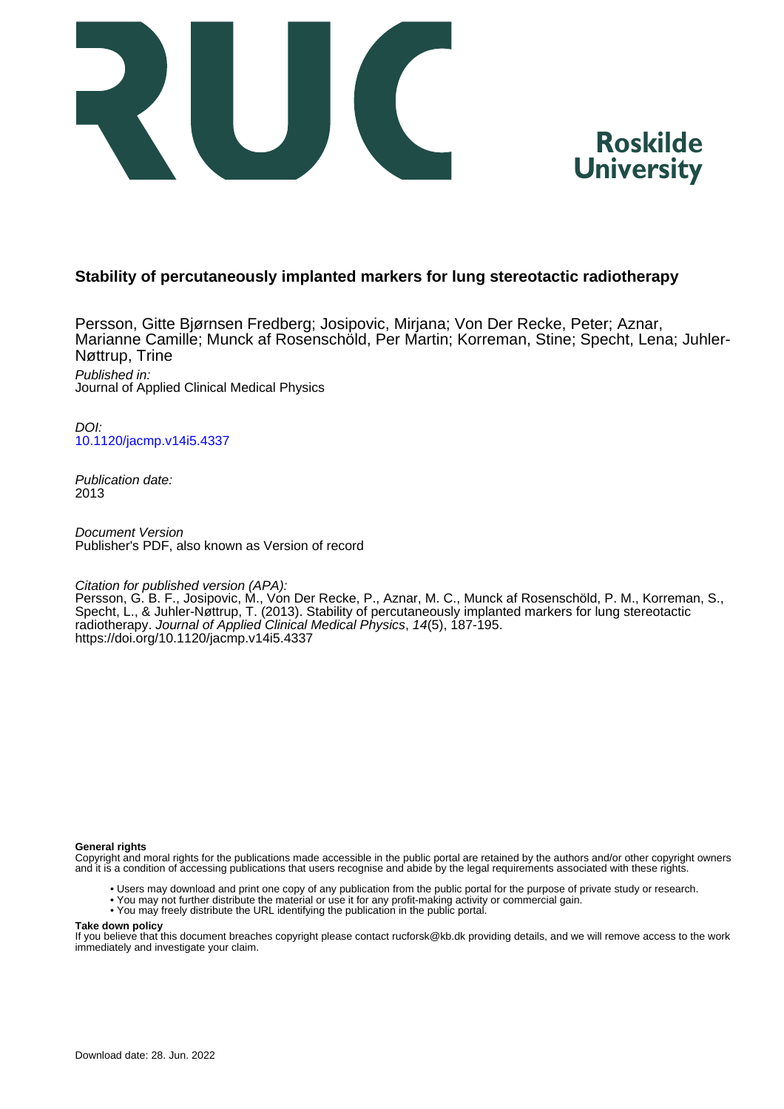



## **Stability of percutaneously implanted markers for lung stereotactic radiotherapy**

Persson, Gitte Bjørnsen Fredberg; Josipovic, Mirjana; Von Der Recke, Peter; Aznar, Marianne Camille; Munck af Rosenschöld, Per Martin; Korreman, Stine; Specht, Lena; Juhler-Nøttrup, Trine

Published in: Journal of Applied Clinical Medical Physics

DOI: [10.1120/jacmp.v14i5.4337](https://doi.org/10.1120/jacmp.v14i5.4337)

Publication date: 2013

Document Version Publisher's PDF, also known as Version of record

## Citation for published version (APA):

Persson, G. B. F., Josipovic, M., Von Der Recke, P., Aznar, M. C., Munck af Rosenschöld, P. M., Korreman, S., Specht, L., & Juhler-Nøttrup, T. (2013). Stability of percutaneously implanted markers for lung stereotactic radiotherapy. Journal of Applied Clinical Medical Physics, 14(5), 187-195. <https://doi.org/10.1120/jacmp.v14i5.4337>

## **General rights**

Copyright and moral rights for the publications made accessible in the public portal are retained by the authors and/or other copyright owners and it is a condition of accessing publications that users recognise and abide by the legal requirements associated with these rights.

- Users may download and print one copy of any publication from the public portal for the purpose of private study or research.
- You may not further distribute the material or use it for any profit-making activity or commercial gain.
- You may freely distribute the URL identifying the publication in the public portal.

#### **Take down policy**

If you believe that this document breaches copyright please contact rucforsk@kb.dk providing details, and we will remove access to the work immediately and investigate your claim.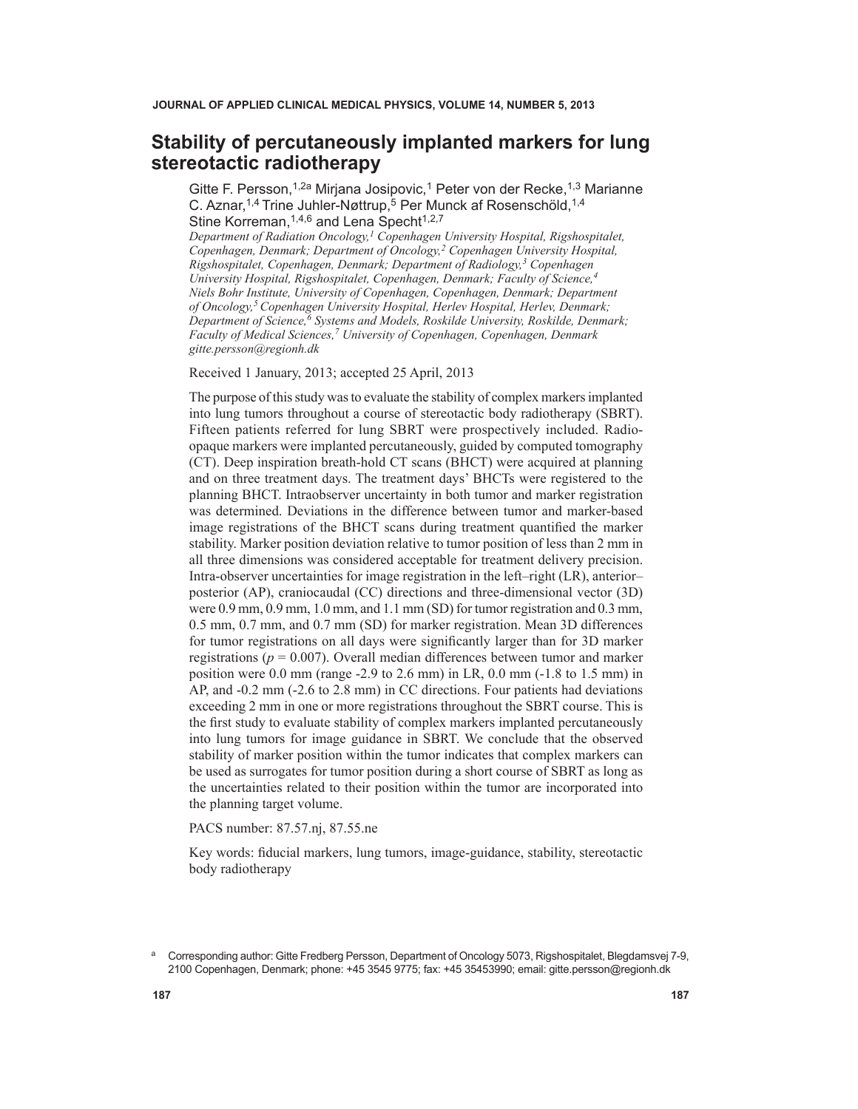# **Stability of percutaneously implanted markers for lung stereotactic radiotherapy**

Gitte F. Persson,<sup>1,2a</sup> Mirjana Josipovic,<sup>1</sup> Peter von der Recke,<sup>1,3</sup> Marianne C. Aznar,<sup>1,4</sup> Trine Juhler-Nøttrup,<sup>5</sup> Per Munck af Rosenschöld,<sup>1,4</sup> Stine Korreman,  $1,4,6$  and Lena Specht $1,2,7$ 

*Department of Radiation Oncology,1 Copenhagen University Hospital, Rigshospitalet, Copenhagen, Denmark; Department of Oncology,2 Copenhagen University Hospital, Rigshospitalet, Copenhagen, Denmark; Department of Radiology,3 Copenhagen University Hospital, Rigshospitalet, Copenhagen, Denmark; Faculty of Science,4 Niels Bohr Institute, University of Copenhagen, Copenhagen, Denmark; Department of Oncology,5 Copenhagen University Hospital, Herlev Hospital, Herlev, Denmark; Department of Science,6 Systems and Models, Roskilde University, Roskilde, Denmark; Faculty of Medical Sciences,7 University of Copenhagen, Copenhagen, Denmark gitte.persson@regionh.dk*

Received 1 January, 2013; accepted 25 April, 2013

The purpose of this study was to evaluate the stability of complex markers implanted into lung tumors throughout a course of stereotactic body radiotherapy (SBRT). Fifteen patients referred for lung SBRT were prospectively included. Radioopaque markers were implanted percutaneously, guided by computed tomography (CT). Deep inspiration breath-hold CT scans (BHCT) were acquired at planning and on three treatment days. The treatment days' BHCTs were registered to the planning BHCT. Intraobserver uncertainty in both tumor and marker registration was determined. Deviations in the difference between tumor and marker-based image registrations of the BHCT scans during treatment quantified the marker stability. Marker position deviation relative to tumor position of less than 2 mm in all three dimensions was considered acceptable for treatment delivery precision. Intra-observer uncertainties for image registration in the left–right (LR), anterior– posterior (AP), craniocaudal (CC) directions and three-dimensional vector (3D) were 0.9 mm, 0.9 mm, 1.0 mm, and 1.1 mm (SD) for tumor registration and 0.3 mm, 0.5 mm, 0.7 mm, and 0.7 mm (SD) for marker registration. Mean 3D differences for tumor registrations on all days were significantly larger than for 3D marker registrations (*p* = 0.007). Overall median differences between tumor and marker position were  $0.0$  mm (range  $-2.9$  to  $2.6$  mm) in LR,  $0.0$  mm  $(-1.8$  to  $1.5$  mm) in AP, and -0.2 mm (-2.6 to 2.8 mm) in CC directions. Four patients had deviations exceeding 2 mm in one or more registrations throughout the SBRT course. This is the first study to evaluate stability of complex markers implanted percutaneously into lung tumors for image guidance in SBRT. We conclude that the observed stability of marker position within the tumor indicates that complex markers can be used as surrogates for tumor position during a short course of SBRT as long as the uncertainties related to their position within the tumor are incorporated into the planning target volume.

PACS number: 87.57.nj, 87.55.ne

Key words: fiducial markers, lung tumors, image-guidance, stability, stereotactic body radiotherapy

<sup>a</sup> Corresponding author: Gitte Fredberg Persson, Department of Oncology 5073, Rigshospitalet, Blegdamsvej 7-9, 2100 Copenhagen, Denmark; phone: +45 3545 9775; fax: +45 35453990; email: gitte.persson@regionh.dk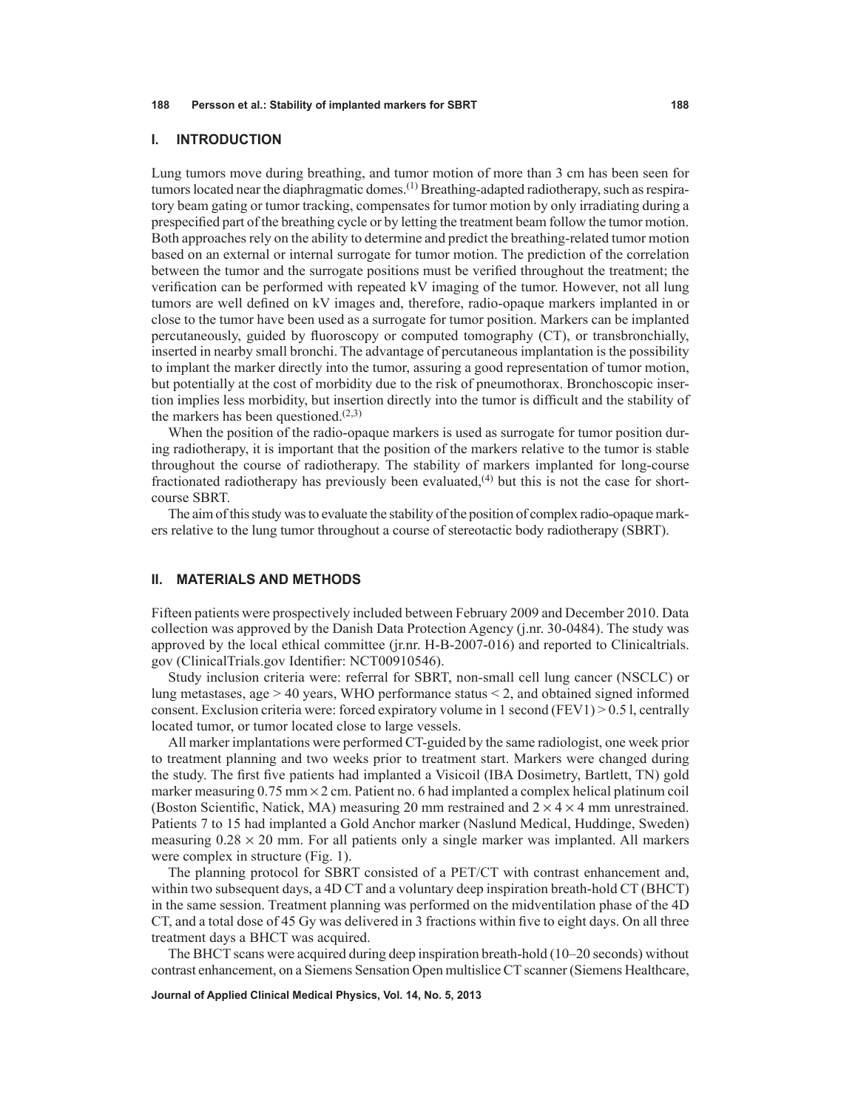## **I. Introduction**

Lung tumors move during breathing, and tumor motion of more than 3 cm has been seen for tumors located near the diaphragmatic domes.<sup>(1)</sup> Breathing-adapted radiotherapy, such as respiratory beam gating or tumor tracking, compensates for tumor motion by only irradiating during a prespecified part of the breathing cycle or by letting the treatment beam follow the tumor motion. Both approaches rely on the ability to determine and predict the breathing-related tumor motion based on an external or internal surrogate for tumor motion. The prediction of the correlation between the tumor and the surrogate positions must be verified throughout the treatment; the verification can be performed with repeated kV imaging of the tumor. However, not all lung tumors are well defined on kV images and, therefore, radio-opaque markers implanted in or close to the tumor have been used as a surrogate for tumor position. Markers can be implanted percutaneously, guided by fluoroscopy or computed tomography (CT), or transbronchially, inserted in nearby small bronchi. The advantage of percutaneous implantation is the possibility to implant the marker directly into the tumor, assuring a good representation of tumor motion, but potentially at the cost of morbidity due to the risk of pneumothorax. Bronchoscopic insertion implies less morbidity, but insertion directly into the tumor is difficult and the stability of the markers has been questioned. $(2,3)$ 

When the position of the radio-opaque markers is used as surrogate for tumor position during radiotherapy, it is important that the position of the markers relative to the tumor is stable throughout the course of radiotherapy. The stability of markers implanted for long-course fractionated radiotherapy has previously been evaluated, $^{(4)}$  but this is not the case for shortcourse SBRT.

The aim of this study was to evaluate the stability of the position of complex radio-opaque markers relative to the lung tumor throughout a course of stereotactic body radiotherapy (SBRT).

## **II. Materials and Methods**

Fifteen patients were prospectively included between February 2009 and December 2010. Data collection was approved by the Danish Data Protection Agency (j.nr. 30-0484). The study was approved by the local ethical committee (jr.nr. H-B-2007-016) and reported to Clinicaltrials. gov (ClinicalTrials.gov Identifier: NCT00910546).

Study inclusion criteria were: referral for SBRT, non-small cell lung cancer (NSCLC) or lung metastases, age  $> 40$  years, WHO performance status  $<$  2, and obtained signed informed consent. Exclusion criteria were: forced expiratory volume in 1 second (FEV1) > 0.5 l, centrally located tumor, or tumor located close to large vessels.

All marker implantations were performed CT-guided by the same radiologist, one week prior to treatment planning and two weeks prior to treatment start. Markers were changed during the study. The first five patients had implanted a Visicoil (IBA Dosimetry, Bartlett, TN) gold marker measuring  $0.75$  mm  $\times$  2 cm. Patient no. 6 had implanted a complex helical platinum coil (Boston Scientific, Natick, MA) measuring 20 mm restrained and  $2 \times 4 \times 4$  mm unrestrained. Patients 7 to 15 had implanted a Gold Anchor marker (Naslund Medical, Huddinge, Sweden) measuring  $0.28 \times 20$  mm. For all patients only a single marker was implanted. All markers were complex in structure (Fig. 1).

The planning protocol for SBRT consisted of a PET/CT with contrast enhancement and, within two subsequent days, a 4D CT and a voluntary deep inspiration breath-hold CT (BHCT) in the same session. Treatment planning was performed on the midventilation phase of the 4D CT, and a total dose of 45 Gy was delivered in 3 fractions within five to eight days. On all three treatment days a BHCT was acquired.

The BHCT scans were acquired during deep inspiration breath-hold (10–20 seconds) without contrast enhancement, on a Siemens Sensation Open multislice CT scanner (Siemens Healthcare,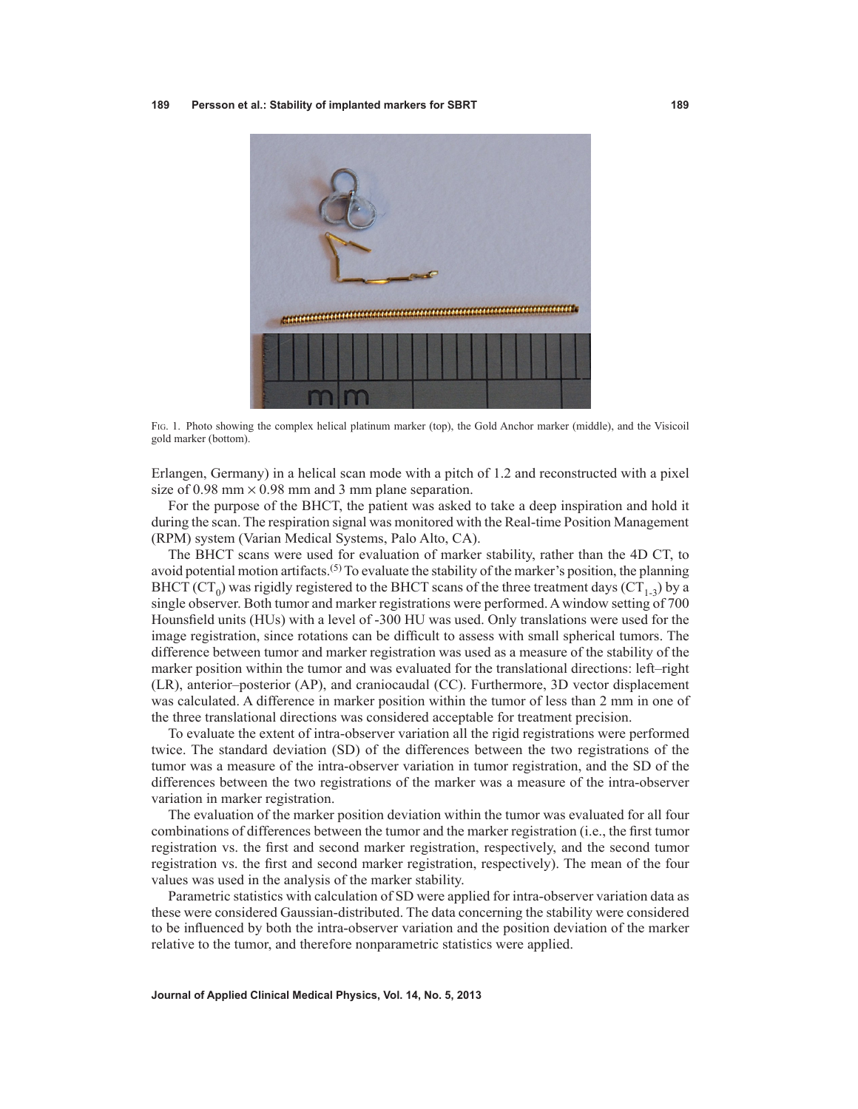

Fig. 1. Photo showing the complex helical platinum marker (top), the Gold Anchor marker (middle), and the Visicoil gold marker (bottom).

Erlangen, Germany) in a helical scan mode with a pitch of 1.2 and reconstructed with a pixel size of 0.98 mm  $\times$  0.98 mm and 3 mm plane separation.

For the purpose of the BHCT, the patient was asked to take a deep inspiration and hold it during the scan. The respiration signal was monitored with the Real-time Position Management (RPM) system (Varian Medical Systems, Palo Alto, CA).

The BHCT scans were used for evaluation of marker stability, rather than the 4D CT, to avoid potential motion artifacts.<sup>(5)</sup> To evaluate the stability of the marker's position, the planning BHCT (CT<sub>0</sub>) was rigidly registered to the BHCT scans of the three treatment days (CT<sub>1-3</sub>) by a single observer. Both tumor and marker registrations were performed. A window setting of 700 Hounsfield units (HUs) with a level of -300 HU was used. Only translations were used for the image registration, since rotations can be difficult to assess with small spherical tumors. The difference between tumor and marker registration was used as a measure of the stability of the marker position within the tumor and was evaluated for the translational directions: left–right (LR), anterior–posterior (AP), and craniocaudal (CC). Furthermore, 3D vector displacement was calculated. A difference in marker position within the tumor of less than 2 mm in one of the three translational directions was considered acceptable for treatment precision.

To evaluate the extent of intra-observer variation all the rigid registrations were performed twice. The standard deviation (SD) of the differences between the two registrations of the tumor was a measure of the intra-observer variation in tumor registration, and the SD of the differences between the two registrations of the marker was a measure of the intra-observer variation in marker registration.

The evaluation of the marker position deviation within the tumor was evaluated for all four combinations of differences between the tumor and the marker registration (i.e., the first tumor registration vs. the first and second marker registration, respectively, and the second tumor registration vs. the first and second marker registration, respectively). The mean of the four values was used in the analysis of the marker stability.

Parametric statistics with calculation of SD were applied for intra-observer variation data as these were considered Gaussian-distributed. The data concerning the stability were considered to be influenced by both the intra-observer variation and the position deviation of the marker relative to the tumor, and therefore nonparametric statistics were applied.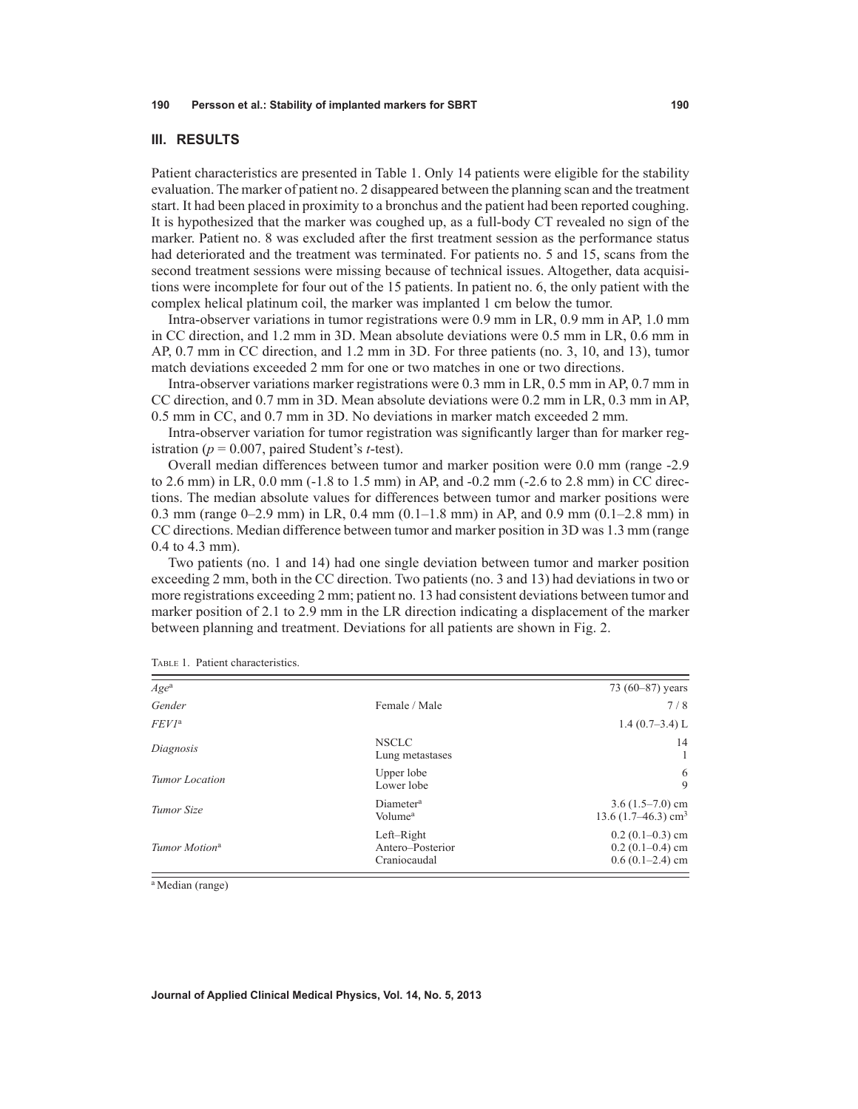## **III. Results**

Patient characteristics are presented in Table 1. Only 14 patients were eligible for the stability evaluation. The marker of patient no. 2 disappeared between the planning scan and the treatment start. It had been placed in proximity to a bronchus and the patient had been reported coughing. It is hypothesized that the marker was coughed up, as a full-body CT revealed no sign of the marker. Patient no. 8 was excluded after the first treatment session as the performance status had deteriorated and the treatment was terminated. For patients no. 5 and 15, scans from the second treatment sessions were missing because of technical issues. Altogether, data acquisitions were incomplete for four out of the 15 patients. In patient no. 6, the only patient with the complex helical platinum coil, the marker was implanted 1 cm below the tumor.

Intra-observer variations in tumor registrations were 0.9 mm in LR, 0.9 mm in AP, 1.0 mm in CC direction, and 1.2 mm in 3D. Mean absolute deviations were 0.5 mm in LR, 0.6 mm in AP, 0.7 mm in CC direction, and 1.2 mm in 3D. For three patients (no. 3, 10, and 13), tumor match deviations exceeded 2 mm for one or two matches in one or two directions.

Intra-observer variations marker registrations were 0.3 mm in LR, 0.5 mm in AP, 0.7 mm in CC direction, and 0.7 mm in 3D. Mean absolute deviations were 0.2 mm in LR, 0.3 mm in AP, 0.5 mm in CC, and 0.7 mm in 3D. No deviations in marker match exceeded 2 mm.

Intra-observer variation for tumor registration was significantly larger than for marker registration ( $p = 0.007$ , paired Student's *t*-test).

Overall median differences between tumor and marker position were 0.0 mm (range -2.9 to 2.6 mm) in LR, 0.0 mm (-1.8 to 1.5 mm) in AP, and -0.2 mm (-2.6 to 2.8 mm) in CC directions. The median absolute values for differences between tumor and marker positions were 0.3 mm (range  $0-2.9$  mm) in LR, 0.4 mm  $(0.1-1.8$  mm) in AP, and 0.9 mm  $(0.1-2.8$  mm) in CC directions. Median difference between tumor and marker position in 3D was 1.3 mm (range 0.4 to 4.3 mm).

Two patients (no. 1 and 14) had one single deviation between tumor and marker position exceeding 2 mm, both in the CC direction. Two patients (no. 3 and 13) had deviations in two or more registrations exceeding 2 mm; patient no. 13 had consistent deviations between tumor and marker position of 2.1 to 2.9 mm in the LR direction indicating a displacement of the marker between planning and treatment. Deviations for all patients are shown in Fig. 2.

| $Age^a$                   |                                                | 73 (60–87) years                                            |
|---------------------------|------------------------------------------------|-------------------------------------------------------------|
| Gender                    | Female / Male                                  | 7/8                                                         |
| $FEVI^a$                  |                                                | $1.4(0.7-3.4)$ L                                            |
| Diagnosis                 | <b>NSCLC</b><br>Lung metastases                | 14                                                          |
| Tumor Location            | Upper lobe<br>Lower lobe                       | 6<br>9                                                      |
| Tumor Size                | Diameter <sup>a</sup><br>Volume <sup>a</sup>   | $3.6(1.5-7.0)$ cm<br>13.6 $(1.7-46.3)$ cm <sup>3</sup>      |
| Tumor Motion <sup>a</sup> | Left-Right<br>Antero-Posterior<br>Craniocaudal | $0.2(0.1-0.3)$ cm<br>$0.2(0.1-0.4)$ cm<br>$0.6(0.1-2.4)$ cm |

TABLE 1. Patient characteristics.

<sup>a</sup> Median (range)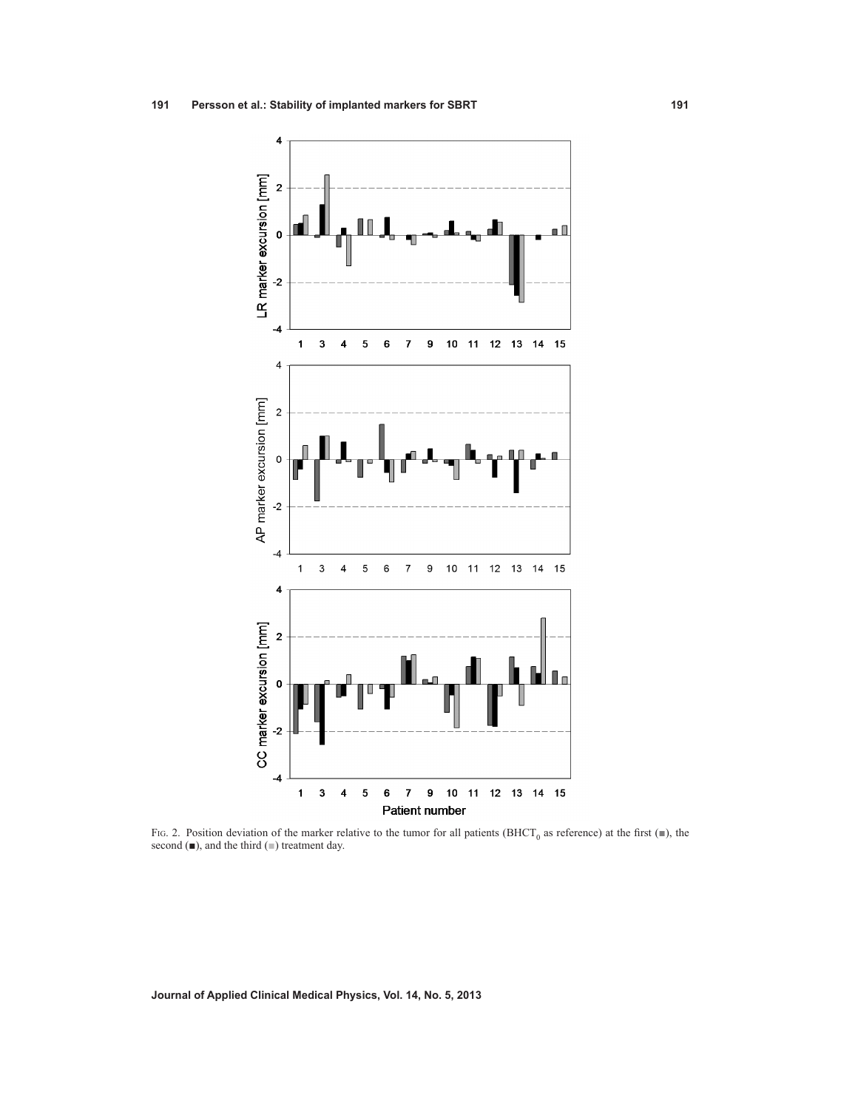

FIG. 2. Position deviation of the marker relative to the tumor for all patients (BHCT<sub>0</sub> as reference) at the first (■), the second (■), and the third (■) treatment day.

**Journal of Applied Clinical Medical Physics, Vol. 14, No. 5, 2013**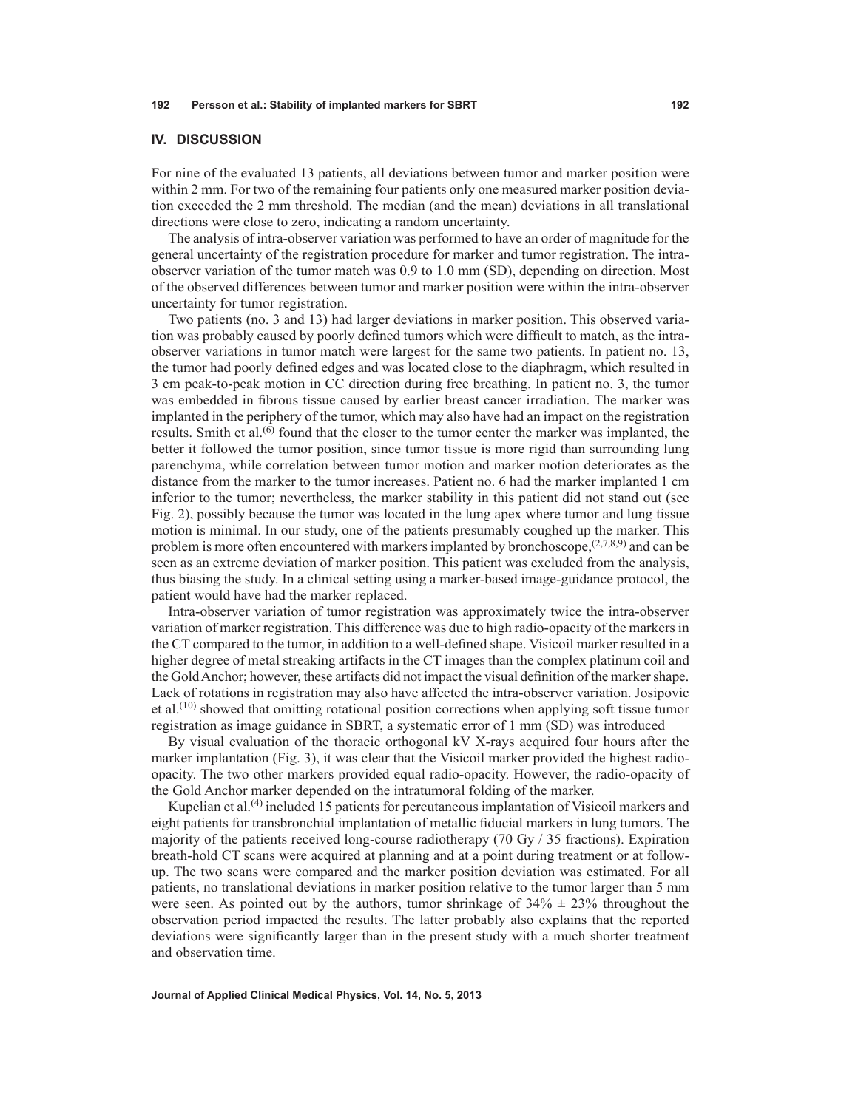#### **192 Persson et al.: Stability of implanted markers for SBRT 192**

## **IV. DISCUSSION**

For nine of the evaluated 13 patients, all deviations between tumor and marker position were within 2 mm. For two of the remaining four patients only one measured marker position deviation exceeded the 2 mm threshold. The median (and the mean) deviations in all translational directions were close to zero, indicating a random uncertainty.

The analysis of intra-observer variation was performed to have an order of magnitude for the general uncertainty of the registration procedure for marker and tumor registration. The intraobserver variation of the tumor match was 0.9 to 1.0 mm (SD), depending on direction. Most of the observed differences between tumor and marker position were within the intra-observer uncertainty for tumor registration.

Two patients (no. 3 and 13) had larger deviations in marker position. This observed variation was probably caused by poorly defined tumors which were difficult to match, as the intraobserver variations in tumor match were largest for the same two patients. In patient no. 13, the tumor had poorly defined edges and was located close to the diaphragm, which resulted in 3 cm peak-to-peak motion in CC direction during free breathing. In patient no. 3, the tumor was embedded in fibrous tissue caused by earlier breast cancer irradiation. The marker was implanted in the periphery of the tumor, which may also have had an impact on the registration results. Smith et al.<sup>(6)</sup> found that the closer to the tumor center the marker was implanted, the better it followed the tumor position, since tumor tissue is more rigid than surrounding lung parenchyma, while correlation between tumor motion and marker motion deteriorates as the distance from the marker to the tumor increases. Patient no. 6 had the marker implanted 1 cm inferior to the tumor; nevertheless, the marker stability in this patient did not stand out (see Fig. 2), possibly because the tumor was located in the lung apex where tumor and lung tissue motion is minimal. In our study, one of the patients presumably coughed up the marker. This problem is more often encountered with markers implanted by bronchoscope,  $(2,7,8,9)$  and can be seen as an extreme deviation of marker position. This patient was excluded from the analysis, thus biasing the study. In a clinical setting using a marker-based image-guidance protocol, the patient would have had the marker replaced.

Intra-observer variation of tumor registration was approximately twice the intra-observer variation of marker registration. This difference was due to high radio-opacity of the markers in the CT compared to the tumor, in addition to a well-defined shape. Visicoil marker resulted in a higher degree of metal streaking artifacts in the CT images than the complex platinum coil and the Gold Anchor; however, these artifacts did not impact the visual definition of the marker shape. Lack of rotations in registration may also have affected the intra-observer variation. Josipovic et al.<sup>(10)</sup> showed that omitting rotational position corrections when applying soft tissue tumor registration as image guidance in SBRT, a systematic error of 1 mm (SD) was introduced

By visual evaluation of the thoracic orthogonal kV X-rays acquired four hours after the marker implantation (Fig. 3), it was clear that the Visicoil marker provided the highest radioopacity. The two other markers provided equal radio-opacity. However, the radio-opacity of the Gold Anchor marker depended on the intratumoral folding of the marker.

Kupelian et al.(4) included 15 patients for percutaneous implantation of Visicoil markers and eight patients for transbronchial implantation of metallic fiducial markers in lung tumors. The majority of the patients received long-course radiotherapy (70 Gy  $/$  35 fractions). Expiration breath-hold CT scans were acquired at planning and at a point during treatment or at followup. The two scans were compared and the marker position deviation was estimated. For all patients, no translational deviations in marker position relative to the tumor larger than 5 mm were seen. As pointed out by the authors, tumor shrinkage of  $34\% \pm 23\%$  throughout the observation period impacted the results. The latter probably also explains that the reported deviations were significantly larger than in the present study with a much shorter treatment and observation time.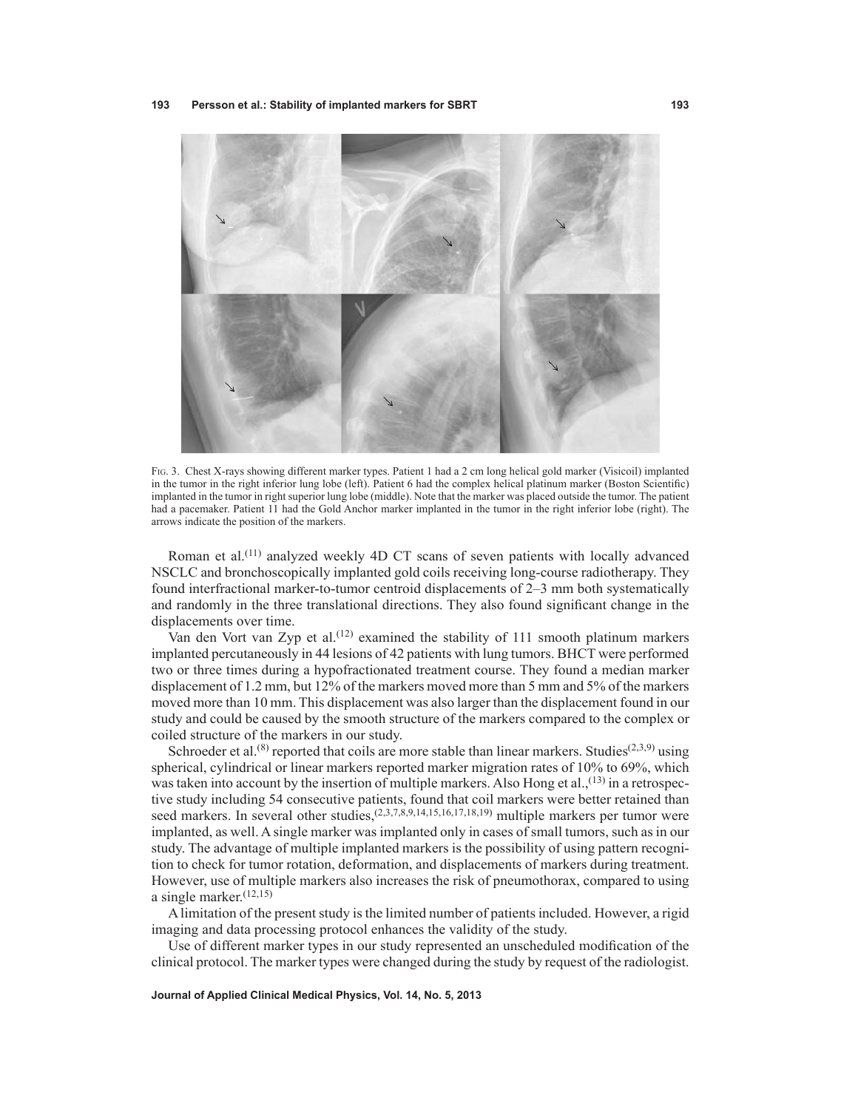

Fig. 3. Chest X-rays showing different marker types. Patient 1 had a 2 cm long helical gold marker (Visicoil) implanted in the tumor in the right inferior lung lobe (left). Patient 6 had the complex helical platinum marker (Boston Scientific) implanted in the tumor in right superior lung lobe (middle). Note that the marker was placed outside the tumor. The patient had a pacemaker. Patient 11 had the Gold Anchor marker implanted in the tumor in the right inferior lobe (right). The arrows indicate the position of the markers.

Roman et al.<sup>(11)</sup> analyzed weekly 4D CT scans of seven patients with locally advanced NSCLC and bronchoscopically implanted gold coils receiving long-course radiotherapy. They found interfractional marker-to-tumor centroid displacements of 2–3 mm both systematically and randomly in the three translational directions. They also found significant change in the displacements over time.

Van den Vort van Zyp et al.(12) examined the stability of 111 smooth platinum markers implanted percutaneously in 44 lesions of 42 patients with lung tumors. BHCT were performed two or three times during a hypofractionated treatment course. They found a median marker displacement of 1.2 mm, but 12% of the markers moved more than 5 mm and 5% of the markers moved more than 10 mm. This displacement was also larger than the displacement found in our study and could be caused by the smooth structure of the markers compared to the complex or coiled structure of the markers in our study.

Schroeder et al.<sup>(8)</sup> reported that coils are more stable than linear markers. Studies<sup>(2,3,9)</sup> using spherical, cylindrical or linear markers reported marker migration rates of 10% to 69%, which was taken into account by the insertion of multiple markers. Also Hong et al.  $^{(13)}$  in a retrospective study including 54 consecutive patients, found that coil markers were better retained than seed markers. In several other studies,<sup>(2,3,7,8,9,14,15,16,17,18,19)</sup> multiple markers per tumor were implanted, as well. A single marker was implanted only in cases of small tumors, such as in our study. The advantage of multiple implanted markers is the possibility of using pattern recognition to check for tumor rotation, deformation, and displacements of markers during treatment. However, use of multiple markers also increases the risk of pneumothorax, compared to using a single marker. $(12,15)$ 

A limitation of the present study is the limited number of patients included. However, a rigid imaging and data processing protocol enhances the validity of the study.

Use of different marker types in our study represented an unscheduled modification of the clinical protocol. The marker types were changed during the study by request of the radiologist.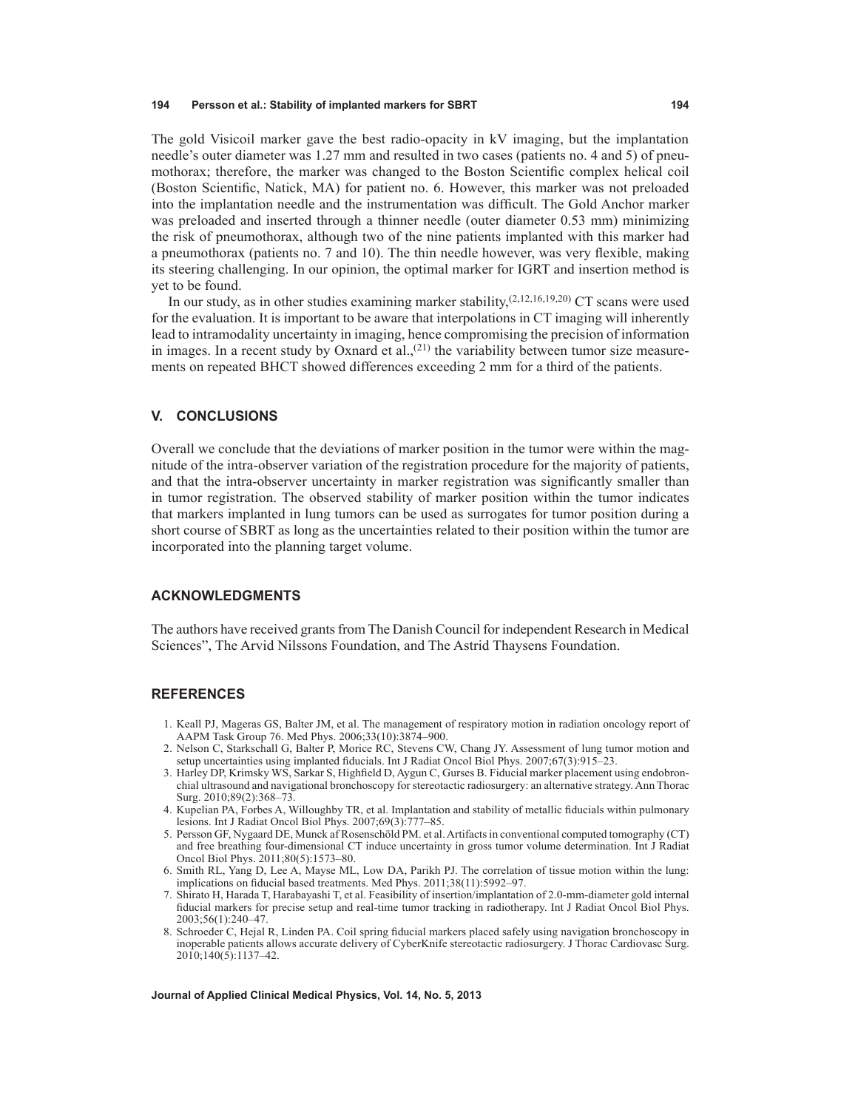### **194 Persson et al.: Stability of implanted markers for SBRT 194**

The gold Visicoil marker gave the best radio-opacity in kV imaging, but the implantation needle's outer diameter was 1.27 mm and resulted in two cases (patients no. 4 and 5) of pneumothorax; therefore, the marker was changed to the Boston Scientific complex helical coil (Boston Scientific, Natick, MA) for patient no. 6. However, this marker was not preloaded into the implantation needle and the instrumentation was difficult. The Gold Anchor marker was preloaded and inserted through a thinner needle (outer diameter 0.53 mm) minimizing the risk of pneumothorax, although two of the nine patients implanted with this marker had a pneumothorax (patients no. 7 and 10). The thin needle however, was very flexible, making its steering challenging. In our opinion, the optimal marker for IGRT and insertion method is yet to be found.

In our study, as in other studies examining marker stability,<sup>(2,12,16,19,20)</sup> CT scans were used for the evaluation. It is important to be aware that interpolations in CT imaging will inherently lead to intramodality uncertainty in imaging, hence compromising the precision of information in images. In a recent study by Oxnard et al.,<sup>(21)</sup> the variability between tumor size measurements on repeated BHCT showed differences exceeding 2 mm for a third of the patients.

## **V. Conclusions**

Overall we conclude that the deviations of marker position in the tumor were within the magnitude of the intra-observer variation of the registration procedure for the majority of patients, and that the intra-observer uncertainty in marker registration was significantly smaller than in tumor registration. The observed stability of marker position within the tumor indicates that markers implanted in lung tumors can be used as surrogates for tumor position during a short course of SBRT as long as the uncertainties related to their position within the tumor are incorporated into the planning target volume.

## **Acknowledgments**

The authors have received grants from The Danish Council for independent Research in Medical Sciences", The Arvid Nilssons Foundation, and The Astrid Thaysens Foundation.

#### **References**

- 1. Keall PJ, Mageras GS, Balter JM, et al. The management of respiratory motion in radiation oncology report of AAPM Task Group 76. Med Phys. 2006;33(10):3874–900.
- 2. Nelson C, Starkschall G, Balter P, Morice RC, Stevens CW, Chang JY. Assessment of lung tumor motion and setup uncertainties using implanted fiducials. Int J Radiat Oncol Biol Phys. 2007;67(3):915–23.
- 3. Harley DP, Krimsky WS, Sarkar S, Highfield D, Aygun C, Gurses B. Fiducial marker placement using endobronchial ultrasound and navigational bronchoscopy for stereotactic radiosurgery: an alternative strategy. Ann Thorac Surg. 2010;89(2):368–73.
- 4. Kupelian PA, Forbes A, Willoughby TR, et al. Implantation and stability of metallic fiducials within pulmonary lesions. Int J Radiat Oncol Biol Phys. 2007;69(3):777–85.
- 5. Persson GF, Nygaard DE, Munck af Rosenschöld PM. et al. Artifacts in conventional computed tomography (CT) and free breathing four-dimensional CT induce uncertainty in gross tumor volume determination. Int J Radiat Oncol Biol Phys. 2011;80(5):1573–80.
- 6. Smith RL, Yang D, Lee A, Mayse ML, Low DA, Parikh PJ. The correlation of tissue motion within the lung: implications on fiducial based treatments. Med Phys. 2011;38(11):5992–97.
- 7. Shirato H, Harada T, Harabayashi T, et al. Feasibility of insertion/implantation of 2.0-mm-diameter gold internal fiducial markers for precise setup and real-time tumor tracking in radiotherapy. Int J Radiat Oncol Biol Phys. 2003;56(1):240–47.
- 8. Schroeder C, Hejal R, Linden PA. Coil spring fiducial markers placed safely using navigation bronchoscopy in inoperable patients allows accurate delivery of CyberKnife stereotactic radiosurgery. J Thorac Cardiovasc Surg. 2010;140(5):1137–42.